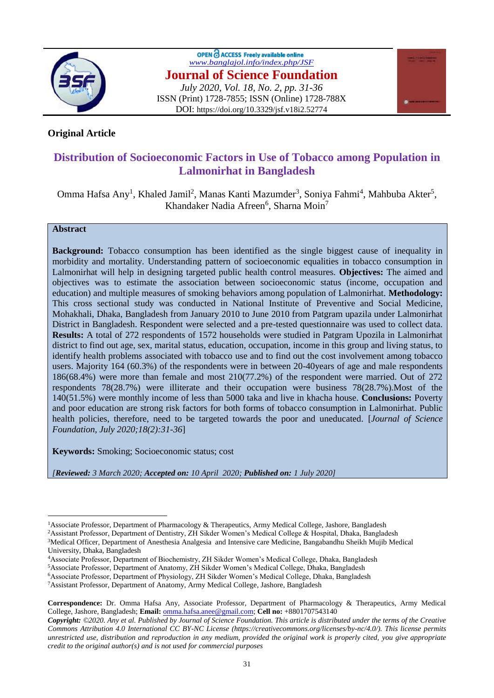

OPEN C ACCESS Freely available online *[www.banglajol.info/index.php/JSF](http://www.banglajol.info/index.php/JSF)* **Journal of Science Foundation** *July 2020, Vol. 18, No. 2, pp. 31-36* ISSN (Print) 1728-7855; ISSN (Online) 1728-788X DOI: https://doi.org/10.3329/jsf.v18i2.52774



## **Original Article**

# **Distribution of Socioeconomic Factors in Use of Tobacco among Population in Lalmonirhat in Bangladesh**

Omma Hafsa Any<sup>1</sup>, Khaled Jamil<sup>2</sup>, Manas Kanti Mazumder<sup>3</sup>, Soniya Fahmi<sup>4</sup>, Mahbuba Akter<sup>5</sup>, Khandaker Nadia Afreen<sup>6</sup>, Sharna Moin<sup>7</sup>

#### **Abstract**

 $\overline{a}$ 

**Background:** Tobacco consumption has been identified as the single biggest cause of inequality in morbidity and mortality. Understanding pattern of socioeconomic equalities in tobacco consumption in Lalmonirhat will help in designing targeted public health control measures. **Objectives:** The aimed and objectives was to estimate the association between socioeconomic status (income, occupation and education) and multiple measures of smoking behaviors among population of Lalmonirhat. **Methodology:** This cross sectional study was conducted in National Institute of Preventive and Social Medicine, Mohakhali, Dhaka, Bangladesh from January 2010 to June 2010 from Patgram upazila under Lalmonirhat District in Bangladesh. Respondent were selected and a pre-tested questionnaire was used to collect data. **Results:** A total of 272 respondents of 1572 households were studied in Patgram Upozila in Lalmonirhat district to find out age, sex, marital status, education, occupation, income in this group and living status, to identify health problems associated with tobacco use and to find out the cost involvement among tobacco users. Majority 164 (60.3%) of the respondents were in between 20-40years of age and male respondents 186(68.4%) were more than female and most 210(77.2%) of the respondent were married. Out of 272 respondents 78(28.7%) were illiterate and their occupation were business 78(28.7%).Most of the 140(51.5%) were monthly income of less than 5000 taka and live in khacha house. **Conclusions:** Poverty and poor education are strong risk factors for both forms of tobacco consumption in Lalmonirhat. Public health policies, therefore, need to be targeted towards the poor and uneducated. [*Journal of Science Foundation, July 2020;18(2):31-36*]

**Keywords:** Smoking; Socioeconomic status; cost

*[Reviewed: 3 March 2020; Accepted on: 10 April 2020; Published on: 1 July 2020]*

<sup>&</sup>lt;sup>1</sup>Associate Professor, Department of Pharmacology & Therapeutics, Army Medical College, Jashore, Bangladesh

<sup>2</sup>Assistant Professor, Department of Dentistry, ZH Sikder Women's Medical College & Hospital, Dhaka, Bangladesh

<sup>3</sup>Medical Officer, Department of Anesthesia Analgesia and Intensive care Medicine, Bangabandhu Sheikh Mujib Medical University, Dhaka, Bangladesh

<sup>4</sup>Associate Professor, Department of Biochemistry, ZH Sikder Women's Medical College, Dhaka, Bangladesh

<sup>5</sup>Associate Professor, Department of Anatomy, ZH Sikder Women's Medical College, Dhaka, Bangladesh

<sup>6</sup>Associate Professor, Department of Physiology, ZH Sikder Women's Medical College, Dhaka, Bangladesh

<sup>7</sup>Assistant Professor, Department of Anatomy, Army Medical College, Jashore, Bangladesh

**Correspondence:** Dr. Omma Hafsa Any, Associate Professor, Department of Pharmacology & Therapeutics, Army Medical College, Jashore, Bangladesh; **Email:** [omma.hafsa.anee@gmail.com;](mailto:omma.hafsa.anee@gmail.com) **Cell no:** +8801707543140

*Copyright: ©2020. Any et al. Published by Journal of Science Foundation. This article is distributed under the terms of the Creative Commons Attribution 4.0 International CC BY-NC License (https://creativecommons.org/licenses/by-nc/4.0/). This license permits unrestricted use, distribution and reproduction in any medium, provided the original work is properly cited, you give appropriate credit to the original author(s) and is not used for commercial purposes*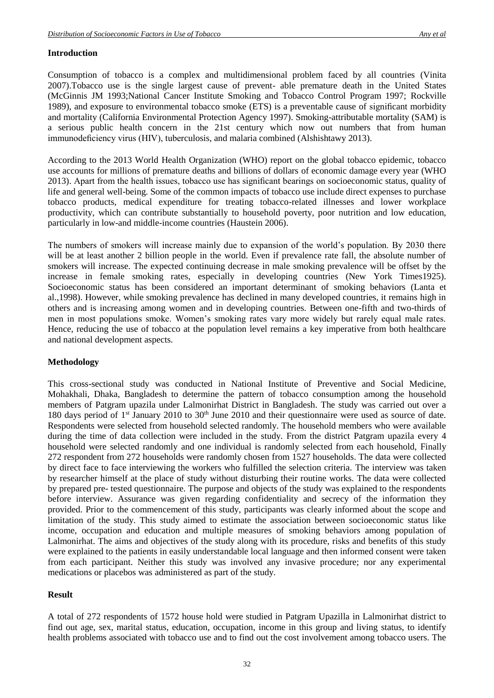#### **Introduction**

Consumption of tobacco is a complex and multidimensional problem faced by all countries (Vinita 2007).Tobacco use is the single largest cause of prevent- able premature death in the United States (McGinnis JM 1993;National Cancer Institute Smoking and Tobacco Control Program 1997; Rockville 1989), and exposure to environmental tobacco smoke (ETS) is a preventable cause of significant morbidity and mortality (California Environmental Protection Agency 1997). Smoking-attributable mortality (SAM) is a serious public health concern in the 21st century which now out numbers that from human immunodeficiency virus (HIV), tuberculosis, and malaria combined (Alshishtawy 2013).

According to the 2013 World Health Organization (WHO) report on the global tobacco epidemic, tobacco use accounts for millions of premature deaths and billions of dollars of economic damage every year (WHO 2013). Apart from the health issues, tobacco use has significant bearings on socioeconomic status, quality of life and general well-being. Some of the common impacts of tobacco use include direct expenses to purchase tobacco products, medical expenditure for treating tobacco-related illnesses and lower workplace productivity, which can contribute substantially to household poverty, poor nutrition and low education, particularly in low-and middle-income countries (Haustein 2006).

The numbers of smokers will increase mainly due to expansion of the world's population. By 2030 there will be at least another 2 billion people in the world. Even if prevalence rate fall, the absolute number of smokers will increase. The expected continuing decrease in male smoking prevalence will be offset by the increase in female smoking rates, especially in developing countries (New York Times1925). Socioeconomic status has been considered an important determinant of smoking behaviors (Lanta et al.,1998). However, while smoking prevalence has declined in many developed countries, it remains high in others and is increasing among women and in developing countries. Between one-fifth and two-thirds of men in most populations smoke. Women's smoking rates vary more widely but rarely equal male rates. Hence, reducing the use of tobacco at the population level remains a key imperative from both healthcare and national development aspects.

#### **Methodology**

This cross-sectional study was conducted in National Institute of Preventive and Social Medicine, Mohakhali, Dhaka, Bangladesh to determine the pattern of tobacco consumption among the household members of Patgram upazila under Lalmonirhat District in Bangladesh. The study was carried out over a 180 days period of 1<sup>st</sup> January 2010 to 30<sup>th</sup> June 2010 and their questionnaire were used as source of date. Respondents were selected from household selected randomly. The household members who were available during the time of data collection were included in the study. From the district Patgram upazila every 4 household were selected randomly and one individual is randomly selected from each household, Finally 272 respondent from 272 households were randomly chosen from 1527 households. The data were collected by direct face to face interviewing the workers who fulfilled the selection criteria. The interview was taken by researcher himself at the place of study without disturbing their routine works. The data were collected by prepared pre- tested questionnaire. The purpose and objects of the study was explained to the respondents before interview. Assurance was given regarding confidentiality and secrecy of the information they provided. Prior to the commencement of this study, participants was clearly informed about the scope and limitation of the study. This study aimed to estimate the association between socioeconomic status like income, occupation and education and multiple measures of smoking behaviors among population of Lalmonirhat. The aims and objectives of the study along with its procedure, risks and benefits of this study were explained to the patients in easily understandable local language and then informed consent were taken from each participant. Neither this study was involved any invasive procedure; nor any experimental medications or placebos was administered as part of the study.

#### **Result**

A total of 272 respondents of 1572 house hold were studied in Patgram Upazilla in Lalmonirhat district to find out age, sex, marital status, education, occupation, income in this group and living status, to identify health problems associated with tobacco use and to find out the cost involvement among tobacco users. The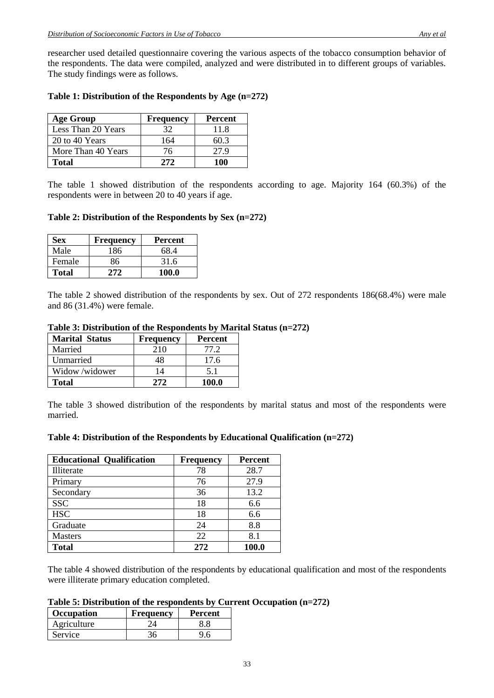researcher used detailed questionnaire covering the various aspects of the tobacco consumption behavior of the respondents. The data were compiled, analyzed and were distributed in to different groups of variables. The study findings were as follows.

| <b>Age Group</b>   | <b>Frequency</b> | <b>Percent</b> |
|--------------------|------------------|----------------|
| Less Than 20 Years | 32               | 11.8           |
| 20 to 40 Years     | 164              | 603            |
| More Than 40 Years | 76               | 27.9           |
| Total              | 272              | 100            |

### **Table 1: Distribution of the Respondents by Age (n=272)**

The table 1 showed distribution of the respondents according to age. Majority 164 (60.3%) of the respondents were in between 20 to 40 years if age.

#### **Table 2: Distribution of the Respondents by Sex (n=272)**

| Sex          | <b>Frequency</b> | Percent |
|--------------|------------------|---------|
| Male         | 186              | 68.4    |
| Female       | 86               | 31.6    |
| <b>Total</b> | 272              | 100.0   |

The table 2 showed distribution of the respondents by sex. Out of 272 respondents 186(68.4%) were male and 86 (31.4%) were female.

| Table 3: Distribution of the Respondents by Marital Status (n=272) |  |  |  |
|--------------------------------------------------------------------|--|--|--|
|--------------------------------------------------------------------|--|--|--|

| <b>Marital Status</b> | Frequency | Percent      |
|-----------------------|-----------|--------------|
| Married               | 210       | 77.2         |
| Unmarried             | 48        | 17.6         |
| Widow/widower         | 14        | 51           |
| <b>Total</b>          | 272       | <b>100.0</b> |

The table 3 showed distribution of the respondents by marital status and most of the respondents were married.

#### **Table 4: Distribution of the Respondents by Educational Qualification (n=272)**

| <b>Educational Qualification</b> | <b>Frequency</b> | <b>Percent</b> |
|----------------------------------|------------------|----------------|
| Illiterate                       | 78               | 28.7           |
| Primary                          | 76               | 27.9           |
| Secondary                        | 36               | 13.2           |
| <b>SSC</b>                       | 18               | 6.6            |
| <b>HSC</b>                       | 18               | 6.6            |
| Graduate                         | 24               | 8.8            |
| <b>Masters</b>                   | 22               | 8.1            |
| <b>Total</b>                     | 2.72             | 100.0          |

The table 4 showed distribution of the respondents by educational qualification and most of the respondents were illiterate primary education completed.

#### **Table 5: Distribution of the respondents by Current Occupation (n=272)**

| <b>Occupation</b> | <b>Frequency</b> | <b>Percent</b> |
|-------------------|------------------|----------------|
| Agriculture       |                  |                |
| Service           |                  |                |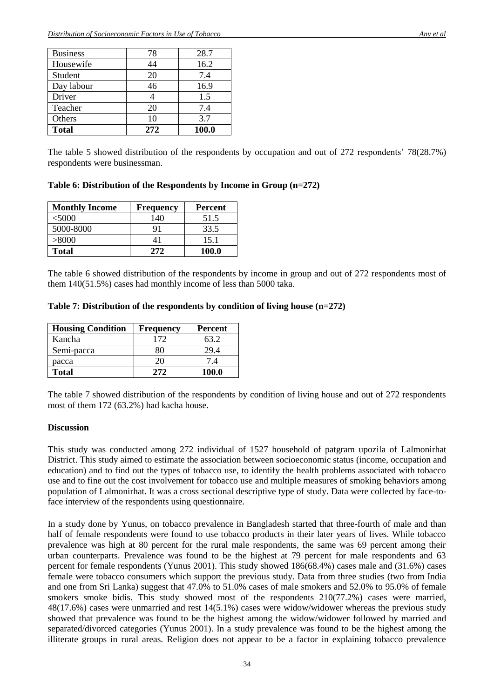| <b>Business</b> | 78   | 28.7  |
|-----------------|------|-------|
| Housewife       | 44   | 16.2  |
| Student         | 20   | 7.4   |
| Day labour      | 46   | 16.9  |
| Driver          |      | 1.5   |
| Teacher         | 20   | 7.4   |
| Others          | 10   | 3.7   |
| <b>Total</b>    | 2.72 | 100.0 |

The table 5 showed distribution of the respondents by occupation and out of 272 respondents' 78(28.7%) respondents were businessman.

**Table 6: Distribution of the Respondents by Income in Group (n=272)**

| <b>Monthly Income</b> | <b>Frequency</b> | <b>Percent</b> |
|-----------------------|------------------|----------------|
| <5000                 | 140              | 51.5           |
| 5000-8000             | 91               | 33.5           |
| > 8000                | 41               | 15.1           |
| <b>Total</b>          | 2.72.            | <b>100.0</b>   |

The table 6 showed distribution of the respondents by income in group and out of 272 respondents most of them 140(51.5%) cases had monthly income of less than 5000 taka.

**Table 7: Distribution of the respondents by condition of living house (n=272)**

| <b>Housing Condition</b> | Frequency | <b>Percent</b> |
|--------------------------|-----------|----------------|
| Kancha                   | 172       | 63.2           |
| Semi-pacca               | י ו≻      | 29.4           |
| pacca                    | 20        | 7.4            |
| <b>Total</b>             | 272       | <b>100.0</b>   |

The table 7 showed distribution of the respondents by condition of living house and out of 272 respondents most of them 172 (63.2%) had kacha house.

#### **Discussion**

This study was conducted among 272 individual of 1527 household of patgram upozila of Lalmonirhat District. This study aimed to estimate the association between socioeconomic status (income, occupation and education) and to find out the types of tobacco use, to identify the health problems associated with tobacco use and to fine out the cost involvement for tobacco use and multiple measures of smoking behaviors among population of Lalmonirhat. It was a cross sectional descriptive type of study. Data were collected by face-toface interview of the respondents using questionnaire.

In a study done by Yunus, on tobacco prevalence in Bangladesh started that three-fourth of male and than half of female respondents were found to use tobacco products in their later years of lives. While tobacco prevalence was high at 80 percent for the rural male respondents, the same was 69 percent among their urban counterparts. Prevalence was found to be the highest at 79 percent for male respondents and 63 percent for female respondents (Yunus 2001). This study showed 186(68.4%) cases male and (31.6%) cases female were tobacco consumers which support the previous study. Data from three studies (two from India and one from Sri Lanka) suggest that 47.0% to 51.0% cases of male smokers and 52.0% to 95.0% of female smokers smoke bidis. This study showed most of the respondents 210(77.2%) cases were married, 48(17.6%) cases were unmarried and rest 14(5.1%) cases were widow/widower whereas the previous study showed that prevalence was found to be the highest among the widow/widower followed by married and separated/divorced categories (Yunus 2001). In a study prevalence was found to be the highest among the illiterate groups in rural areas. Religion does not appear to be a factor in explaining tobacco prevalence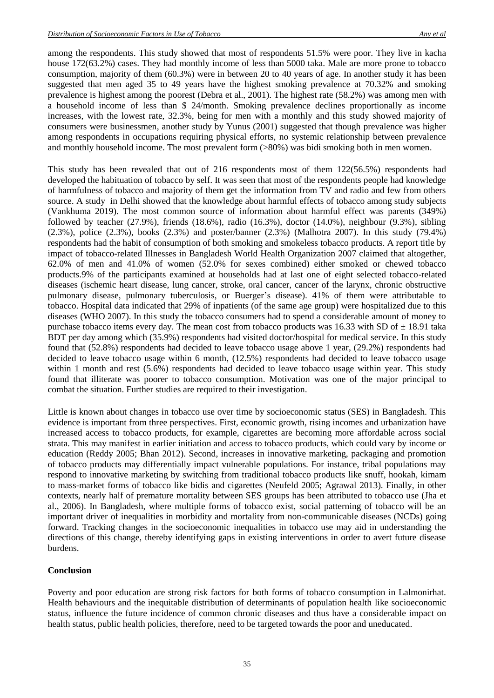among the respondents. This study showed that most of respondents 51.5% were poor. They live in kacha house 172(63.2%) cases. They had monthly income of less than 5000 taka. Male are more prone to tobacco consumption, majority of them (60.3%) were in between 20 to 40 years of age. In another study it has been suggested that men aged 35 to 49 years have the highest smoking prevalence at 70.32% and smoking prevalence is highest among the poorest (Debra et al., 2001). The highest rate (58.2%) was among men with a household income of less than \$ 24/month. Smoking prevalence declines proportionally as income increases, with the lowest rate, 32.3%, being for men with a monthly and this study showed majority of consumers were businessmen, another study by Yunus (2001) suggested that though prevalence was higher among respondents in occupations requiring physical efforts, no systemic relationship between prevalence and monthly household income. The most prevalent form (>80%) was bidi smoking both in men women.

This study has been revealed that out of 216 respondents most of them 122(56.5%) respondents had developed the habituation of tobacco by self. It was seen that most of the respondents people had knowledge of harmfulness of tobacco and majority of them get the information from TV and radio and few from others source. A study in Delhi showed that the knowledge about harmful effects of tobacco among study subjects (Vankhuma 2019). The most common source of information about harmful effect was parents (349%) followed by teacher (27.9%), friends (18.6%), radio (16.3%), doctor (14.0%), neighbour (9.3%), sibling (2.3%), police (2.3%), books (2.3%) and poster/banner (2.3%) (Malhotra 2007). In this study (79.4%) respondents had the habit of consumption of both smoking and smokeless tobacco products. A report title by impact of tobacco-related Illnesses in Bangladesh World Health Organization 2007 claimed that altogether, 62.0% of men and 41.0% of women (52.0% for sexes combined) either smoked or chewed tobacco products.9% of the participants examined at households had at last one of eight selected tobacco-related diseases (ischemic heart disease, lung cancer, stroke, oral cancer, cancer of the larynx, chronic obstructive pulmonary disease, pulmonary tuberculosis, or Buerger's disease). 41% of them were attributable to tobacco. Hospital data indicated that 29% of inpatients (of the same age group) were hospitalized due to this diseases (WHO 2007). In this study the tobacco consumers had to spend a considerable amount of money to purchase tobacco items every day. The mean cost from tobacco products was 16.33 with SD of  $\pm$  18.91 taka BDT per day among which (35.9%) respondents had visited doctor/hospital for medical service. In this study found that (52.8%) respondents had decided to leave tobacco usage above 1 year, (29.2%) respondents had decided to leave tobacco usage within 6 month, (12.5%) respondents had decided to leave tobacco usage within 1 month and rest (5.6%) respondents had decided to leave tobacco usage within year. This study found that illiterate was poorer to tobacco consumption. Motivation was one of the major principal to combat the situation. Further studies are required to their investigation.

Little is known about changes in tobacco use over time by socioeconomic status (SES) in Bangladesh. This evidence is important from three perspectives. First, economic growth, rising incomes and urbanization have increased access to tobacco products, for example, cigarettes are becoming more affordable across social strata. This may manifest in earlier initiation and access to tobacco products, which could vary by income or education (Reddy 2005; Bhan 2012). Second, increases in innovative marketing, packaging and promotion of tobacco products may differentially impact vulnerable populations. For instance, tribal populations may respond to innovative marketing by switching from traditional tobacco products like snuff, hookah, kimam to mass-market forms of tobacco like bidis and cigarettes (Neufeld 2005; Agrawal 2013). Finally, in other contexts, nearly half of premature mortality between SES groups has been attributed to tobacco use (Jha et al., 2006). In Bangladesh, where multiple forms of tobacco exist, social patterning of tobacco will be an important driver of inequalities in morbidity and mortality from non-communicable diseases (NCDs) going forward. Tracking changes in the socioeconomic inequalities in tobacco use may aid in understanding the directions of this change, thereby identifying gaps in existing interventions in order to avert future disease burdens.

#### **Conclusion**

Poverty and poor education are strong risk factors for both forms of tobacco consumption in Lalmonirhat. Health behaviours and the inequitable distribution of determinants of population health like socioeconomic status, influence the future incidence of common chronic diseases and thus have a considerable impact on health status, public health policies, therefore, need to be targeted towards the poor and uneducated.